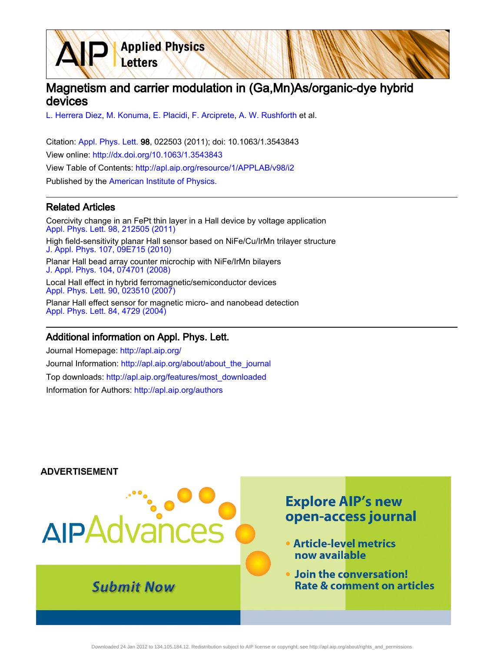# Magnetism and carrier modulation in (Ga,Mn)As/organic-dye hybrid devices

[L. Herrera Diez,](http://apl.aip.org/search?sortby=newestdate&q=&searchzone=2&searchtype=searchin&faceted=faceted&key=AIP_ALL&possible1=L. Herrera Diez&possible1zone=author&alias=&displayid=AIP&ver=pdfcov) [M. Konuma](http://apl.aip.org/search?sortby=newestdate&q=&searchzone=2&searchtype=searchin&faceted=faceted&key=AIP_ALL&possible1=M. Konuma&possible1zone=author&alias=&displayid=AIP&ver=pdfcov), [E. Placidi,](http://apl.aip.org/search?sortby=newestdate&q=&searchzone=2&searchtype=searchin&faceted=faceted&key=AIP_ALL&possible1=E. Placidi&possible1zone=author&alias=&displayid=AIP&ver=pdfcov) [F. Arciprete,](http://apl.aip.org/search?sortby=newestdate&q=&searchzone=2&searchtype=searchin&faceted=faceted&key=AIP_ALL&possible1=F. Arciprete&possible1zone=author&alias=&displayid=AIP&ver=pdfcov) [A. W. Rushforth](http://apl.aip.org/search?sortby=newestdate&q=&searchzone=2&searchtype=searchin&faceted=faceted&key=AIP_ALL&possible1=A. W. Rushforth&possible1zone=author&alias=&displayid=AIP&ver=pdfcov) et al.

**Applied Physics** 

Letters

Citation: [Appl. Phys. Lett. 9](http://apl.aip.org/?ver=pdfcov)8, 022503 (2011); doi: 10.1063/1.3543843 View online: [http://dx.doi.org/10.1063/1.3543843](http://link.aip.org/link/doi/10.1063/1.3543843?ver=pdfcov) View Table of Contents: [http://apl.aip.org/resource/1/APPLAB/v98/i2](http://apl.aip.org/resource/1/APPLAB/v98/i2?ver=pdfcov) Published by the [American Institute of Physics.](http://www.aip.org/?ver=pdfcov)

### Related Articles

Coercivity change in an FePt thin layer in a Hall device by voltage application [Appl. Phys. Lett. 98, 212505 \(2011\)](http://link.aip.org/link/doi/10.1063/1.3595318?ver=pdfcov) High field-sensitivity planar Hall sensor based on NiFe/Cu/IrMn trilayer structure [J. Appl. Phys. 107, 09E715 \(2010\)](http://link.aip.org/link/doi/10.1063/1.3337739?ver=pdfcov) Planar Hall bead array counter microchip with NiFe/IrMn bilayers [J. Appl. Phys. 104, 074701 \(2008\)](http://link.aip.org/link/doi/10.1063/1.2988297?ver=pdfcov) Local Hall effect in hybrid ferromagnetic/semiconductor devices [Appl. Phys. Lett. 90, 023510 \(2007\)](http://link.aip.org/link/doi/10.1063/1.2416000?ver=pdfcov) Planar Hall effect sensor for magnetic micro- and nanobead detection

#### Additional information on Appl. Phys. Lett.

[Appl. Phys. Lett. 84, 4729 \(2004\)](http://link.aip.org/link/doi/10.1063/1.1759380?ver=pdfcov)

Journal Homepage: [http://apl.aip.org/](http://apl.aip.org/?ver=pdfcov) Journal Information: [http://apl.aip.org/about/about\\_the\\_journal](http://apl.aip.org/about/about_the_journal?ver=pdfcov) Top downloads: [http://apl.aip.org/features/most\\_downloaded](http://apl.aip.org/features/most_downloaded?ver=pdfcov) Information for Authors: [http://apl.aip.org/authors](http://apl.aip.org/authors?ver=pdfcov)

#### **ADVERTISEMENT**

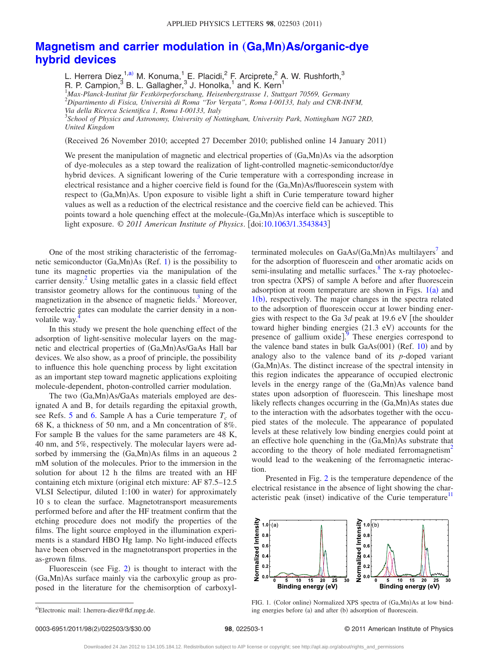## **[Magnetism and carrier modulation in](http://dx.doi.org/10.1063/1.3543843) (Ga,Mn)As/organic-dye [hybrid devices](http://dx.doi.org/10.1063/1.3543843)**

L. Herrera Diez,  $1, a)$  M. Konuma,  $1\leq$  P. Placidi,  $^2$  F. Arciprete,  $^2$  A. W. Rushforth,  $^3$ R. P. Campion,<sup>3</sup> B. L. Gallagher,<sup>3</sup> J. Honolka,<sup>1</sup> and K. Kern<sup>1</sup><br><sup>1</sup>Max-Planck-Institut für Festkörperforschung, Heisenbergstrasse I, Stuttgart 70569, Germany

2 *Dipartimento di Fisica, Università di Roma "Tor Vergata", Roma I-00133, Italy and CNR-INFM,*

3 *School of Physics and Astronomy, University of Nottingham, University Park, Nottingham NG7 2RD, United Kingdom*

(Received 26 November 2010; accepted 27 December 2010; published online 14 January 2011)

We present the manipulation of magnetic and electrical properties of (Ga,Mn)As via the adsorption of dye-molecules as a step toward the realization of light-controlled magnetic-semiconductor/dye hybrid devices. A significant lowering of the Curie temperature with a corresponding increase in electrical resistance and a higher coercive field is found for the (Ga,Mn)As/fluorescein system with respect to (Ga,Mn)As. Upon exposure to visible light a shift in Curie temperature toward higher values as well as a reduction of the electrical resistance and the coercive field can be achieved. This points toward a hole quenching effect at the molecule-(Ga,Mn)As interface which is susceptible to light exposure. © 2011 American Institute of Physics. [doi[:10.1063/1.3543843](http://dx.doi.org/10.1063/1.3543843)]

One of the most striking characteristic of the ferromag-netic semiconductor (Ga,Mn)As (Ref. [1](#page-3-0)) is the possibility to tune its magnetic properties via the manipulation of the carrier density.<sup>2</sup> Using metallic gates in a classic field effect transistor geometry allows for the continuous tuning of the magnetization in the absence of magnetic fields. $3$  Moreover, ferroelectric gates can modulate the carrier density in a nonvolatile way.

In this study we present the hole quenching effect of the adsorption of light-sensitive molecular layers on the magnetic and electrical properties of (Ga,Mn)As/GaAs Hall bar devices. We also show, as a proof of principle, the possibility to influence this hole quenching process by light excitation as an important step toward magnetic applications exploiting molecule-dependent, photon-controlled carrier modulation.

The two (Ga,Mn)As/GaAs materials employed are designated A and B, for details regarding the epitaxial growth, see Refs. [5](#page-3-4) and [6.](#page-3-5) Sample A has a Curie temperature  $T_c$  of 68 K, a thickness of 50 nm, and a Mn concentration of 8%. For sample B the values for the same parameters are 48 K, 40 nm, and 5%, respectively. The molecular layers were adsorbed by immersing the (Ga,Mn)As films in an aqueous 2 mM solution of the molecules. Prior to the immersion in the solution for about 12 h the films are treated with an HF containing etch mixture (original etch mixture: AF 87.5-12.5 VLSI Selectipur, diluted 1:100 in water) for approximately 10 s to clean the surface. Magnetotransport measurements performed before and after the HF treatment confirm that the etching procedure does not modify the properties of the films. The light source employed in the illumination experiments is a standard HBO Hg lamp. No light-induced effects have been observed in the magnetotransport properties in the as-grown films.

<span id="page-1-0"></span>Fluorescein (see Fig. [2](#page-2-0)) is thought to interact with the (Ga,Mn)As surface mainly via the carboxylic group as proposed in the literature for the chemisorption of carboxyl-

terminated molecules on  $GaAs/(Ga,Mn)As$  multilayers<sup>7</sup> and for the adsorption of fluorescein and other aromatic acids on semi-insulating and metallic surfaces.<sup>8</sup> The x-ray photoelectron spectra (XPS) of sample A before and after fluorescein adsorption at room temperature are shown in Figs.  $1(a)$  $1(a)$  and [1](#page-1-1)(b), respectively. The major changes in the spectra related to the adsorption of fluorescein occur at lower binding energies with respect to the Ga  $3d$  peak at 19.6 eV [the shoulder toward higher binding energies  $(21.3 \text{ eV})$  accounts for the presence of gallium  $\alpha$ xide].<sup>[9](#page-3-8)</sup> These energies correspond to the valence band states in bulk  $GaAs(001)$  (Ref. [10](#page-3-9)) and by analogy also to the valence band of its *p*-doped variant (Ga,Mn)As. The distinct increase of the spectral intensity in this region indicates the appearance of occupied electronic levels in the energy range of the (Ga,Mn)As valence band states upon adsorption of fluorescein. This lineshape most likely reflects changes occurring in the (Ga,Mn)As states due to the interaction with the adsorbates together with the occupied states of the molecule. The appearance of populated levels at these relatively low binding energies could point at an effective hole quenching in the (Ga,Mn)As substrate that according to the theory of hole mediated ferromagnetism<sup>2</sup> would lead to the weakening of the ferromagnetic interaction.

<span id="page-1-1"></span>Presented in Fig. [2](#page-2-0) is the temperature dependence of the electrical resistance in the absence of light showing the characteristic peak (inset) indicative of the Curie temperature<sup>11</sup>



FIG. 1. (Color online) Normalized XPS spectra of (Ga,Mn)As at low binding energies before (a) and after (b) adsorption of fluorescein.

*Via della Ricerca Scientifica 1, Roma I-00133, Italy*

a)Electronic mail: l.herrera-diez@fkf.mpg.de.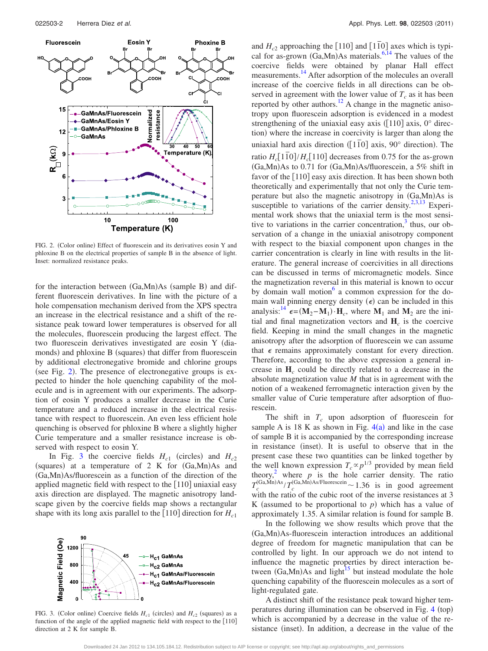<span id="page-2-0"></span>

FIG. 2. (Color online) Effect of fluorescein and its derivatives eosin Y and phloxine B on the electrical properties of sample B in the absence of light. Inset: normalized resistance peaks.

for the interaction between (Ga,Mn)As (sample B) and different fluorescein derivatives. In line with the picture of a hole compensation mechanism derived from the XPS spectra an increase in the electrical resistance and a shift of the resistance peak toward lower temperatures is observed for all the molecules, fluorescein producing the largest effect. The two fluorescein derivatives investigated are eosin Y (diamonds) and phloxine B (squares) that differ from fluorescein by additional electronegative bromide and chlorine groups (see Fig. [2](#page-2-0)). The presence of electronegative groups is expected to hinder the hole quenching capability of the molecule and is in agreement with our experiments. The adsorption of eosin Y produces a smaller decrease in the Curie temperature and a reduced increase in the electrical resistance with respect to fluorescein. An even less efficient hole quenching is observed for phloxine B where a slightly higher Curie temperature and a smaller resistance increase is observed with respect to eosin Y.

In Fig. [3](#page-2-1) the coercive fields  $H_{c1}$  (circles) and  $H_{c2}$ (squares) at a temperature of 2 K for (Ga,Mn)As and (Ga,Mn)As/fluorescein as a function of the direction of the applied magnetic field with respect to the  $[110]$  uniaxial easy axis direction are displayed. The magnetic anisotropy landscape given by the coercive fields map shows a rectangular shape with its long axis parallel to the  $[110]$  direction for  $H_{c1}$ 

<span id="page-2-1"></span>

FIG. 3. (Color online) Coercive fields  $H_{c1}$  (circles) and  $H_{c2}$  (squares) as a function of the angle of the applied magnetic field with respect to the  $[110]$ direction at 2 K for sample B.

and  $H_{c2}$  approaching the [110] and [1<sup> $\overline{10}$ </sup>] axes which is typical for as-grown  $(Ga, Mn)As$  materials.<sup>6[,14](#page-3-11)</sup> The values of the coercive fields were obtained by planar Hall effect measurements[.14](#page-3-11) After adsorption of the molecules an overall increase of the coercive fields in all directions can be observed in agreement with the lower value of  $T_c$  as it has been reported by other authors.<sup>12</sup> A change in the magnetic anisotropy upon fluorescein adsorption is evidenced in a modest strengthening of the uniaxial easy axis  $([110]$  axis, 0° direction) where the increase in coercivity is larger than along the uniaxial hard axis direction  $(1\bar{1}0)$  axis, 90° direction). The ratio  $H_c[1\bar{1}0]/H_c[110]$  decreases from 0.75 for the as-grown (Ga,Mn)As to 0.71 for (Ga,Mn)As/fluorescein, a 5% shift in favor of the  $[110]$  easy axis direction. It has been shown both theoretically and experimentally that not only the Curie temperature but also the magnetic anisotropy in  $(Ga, Mn)As$  is susceptible to variations of the carrier density.<sup>2[,3,](#page-3-2)[13](#page-3-13)</sup> Experimental work shows that the uniaxial term is the most sensitive to variations in the carrier concentration, $\frac{3}{3}$  thus, our observation of a change in the uniaxial anisotropy component with respect to the biaxial component upon changes in the carrier concentration is clearly in line with results in the literature. The general increase of coercivities in all directions can be discussed in terms of micromagnetic models. Since the magnetization reversal in this material is known to occur by domain wall motion $\delta$  a common expression for the domain wall pinning energy density  $(\epsilon)$  can be included in this analysis:<sup>14</sup>  $\epsilon = (M_2 - M_1) \cdot H_c$ , where  $M_1$  and  $M_2$  are the initial and final magnetization vectors and  $H_c$  is the coercive field. Keeping in mind the small changes in the magnetic anisotropy after the adsorption of fluorescein we can assume that  $\epsilon$  remains approximately constant for every direction. Therefore, according to the above expression a general increase in **H***<sup>c</sup>* could be directly related to a decrease in the absolute magnetization value *M* that is in agreement with the notion of a weakened ferromagnetic interaction given by the smaller value of Curie temperature after adsorption of fluorescein.

The shift in  $T_c$  upon adsorption of fluorescein for sample A is 18 K as shown in Fig.  $4(a)$  $4(a)$  and like in the case of sample B it is accompanied by the corresponding increase in resistance (inset). It is useful to observe that in the present case these two quantities can be linked together by the well known expression  $T_c \propto p^{1/3}$  provided by mean field theory,<sup>2</sup> where  $p$  is the hole carrier density. The ratio  $T_c^{\text{(Ga,Mn)As}}/T_c^{\text{(Ga,Mn)As/Fluorescein}}$  ~ 1.36 is in good agreement with the ratio of the cubic root of the inverse resistances at 3 K (assumed to be proportional to  $p$ ) which has a value of approximately 1.35. A similar relation is found for sample B.

In the following we show results which prove that the (Ga,Mn)As-fluorescein interaction introduces an additional degree of freedom for magnetic manipulation that can be controlled by light. In our approach we do not intend to influence the magnetic properties by direct interaction between  $(Ga, Mn)$ As and light<sup>15</sup> but instead modulate the hole quenching capability of the fluorescein molecules as a sort of light-regulated gate.

A distinct shift of the resistance peak toward higher tem-peratures during illumination can be observed in Fig. [4](#page-3-14) (top) which is accompanied by a decrease in the value of the resistance (inset). In addition, a decrease in the value of the